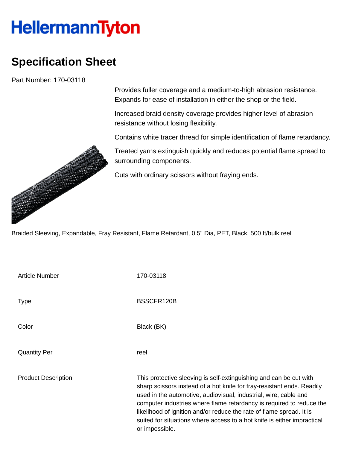## **HellermannTyton**

## **Specification Sheet**

Part Number: 170-03118

Provides fuller coverage and a medium-to-high abrasion resistance. Expands for ease of installation in either the shop or the field.

Increased braid density coverage provides higher level of abrasion resistance without losing flexibility.

Contains white tracer thread for simple identification of flame retardancy.

Treated yarns extinguish quickly and reduces potential flame spread to surrounding components.

Cuts with ordinary scissors without fraying ends.

Braided Sleeving, Expandable, Fray Resistant, Flame Retardant, 0.5" Dia, PET, Black, 500 ft/bulk reel

| <b>Article Number</b>      | 170-03118                                                                                                                                                                                                                                                                                                                                                                                                                                                     |
|----------------------------|---------------------------------------------------------------------------------------------------------------------------------------------------------------------------------------------------------------------------------------------------------------------------------------------------------------------------------------------------------------------------------------------------------------------------------------------------------------|
| <b>Type</b>                | BSSCFR120B                                                                                                                                                                                                                                                                                                                                                                                                                                                    |
| Color                      | Black (BK)                                                                                                                                                                                                                                                                                                                                                                                                                                                    |
| <b>Quantity Per</b>        | reel                                                                                                                                                                                                                                                                                                                                                                                                                                                          |
| <b>Product Description</b> | This protective sleeving is self-extinguishing and can be cut with<br>sharp scissors instead of a hot knife for fray-resistant ends. Readily<br>used in the automotive, audiovisual, industrial, wire, cable and<br>computer industries where flame retardancy is required to reduce the<br>likelihood of ignition and/or reduce the rate of flame spread. It is<br>suited for situations where access to a hot knife is either impractical<br>or impossible. |

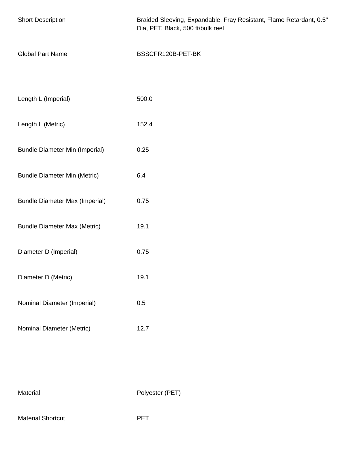| <b>Short Description</b>              | Braided Sleeving, Expandable, Fray Resistant, Flame Retardant, 0.5"<br>Dia, PET, Black, 500 ft/bulk reel |
|---------------------------------------|----------------------------------------------------------------------------------------------------------|
| <b>Global Part Name</b>               | BSSCFR120B-PET-BK                                                                                        |
|                                       |                                                                                                          |
| Length L (Imperial)                   | 500.0                                                                                                    |
| Length L (Metric)                     | 152.4                                                                                                    |
| <b>Bundle Diameter Min (Imperial)</b> | 0.25                                                                                                     |
| <b>Bundle Diameter Min (Metric)</b>   | 6.4                                                                                                      |
| <b>Bundle Diameter Max (Imperial)</b> | 0.75                                                                                                     |
| <b>Bundle Diameter Max (Metric)</b>   | 19.1                                                                                                     |
| Diameter D (Imperial)                 | 0.75                                                                                                     |
| Diameter D (Metric)                   | 19.1                                                                                                     |
| Nominal Diameter (Imperial)           | 0.5                                                                                                      |
| Nominal Diameter (Metric)             | 12.7                                                                                                     |

Material Polyester (PET)

Material Shortcut **PET**